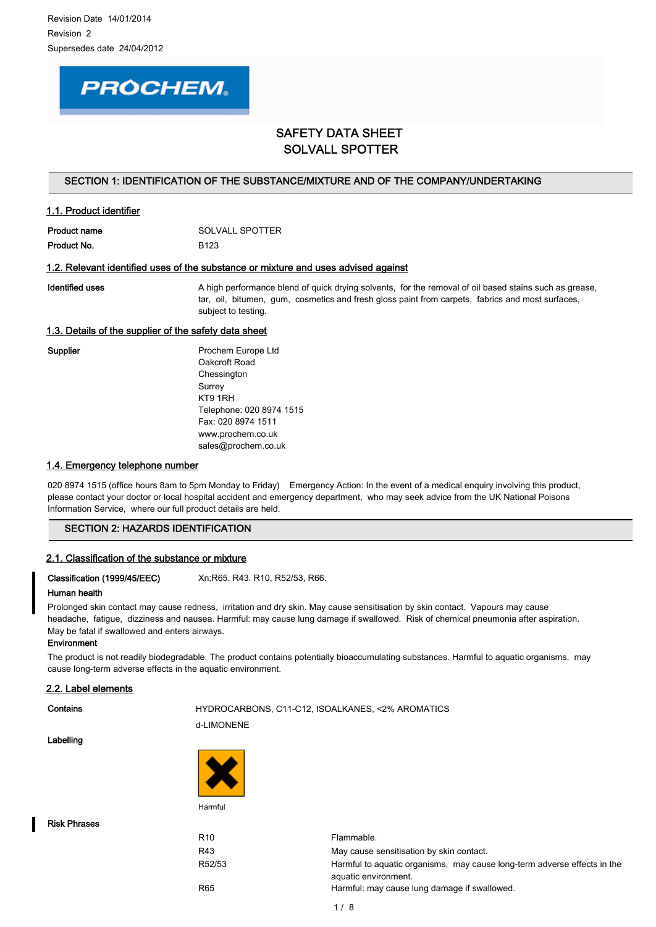# **PROCHEM.**

# SAFETY DATA SHEET SOLVALL SPOTTER

### SECTION 1: IDENTIFICATION OF THE SUBSTANCE/MIXTURE AND OF THE COMPANY/UNDERTAKING

| <b>Product name</b> | SOLVALL SPOTTER  |
|---------------------|------------------|
| Product No.         | B <sub>123</sub> |

### 1.2. Relevant identified uses of the substance or mixture and uses advised against

1.1. Product identifier

Identified uses **A** high performance blend of quick drying solvents, for the removal of oil based stains such as grease, tar, oil, bitumen, gum, cosmetics and fresh gloss paint from carpets, fabrics and most surfaces, subject to testing.

# 1.3. Details of the supplier of the safety data sheet

Supplier **Prochem Europe Ltd** Oakcroft Road Chessington Surrey KT9 1RH Telephone: 020 8974 1515 Fax: 020 8974 1511 www.prochem.co.uk sales@prochem.co.uk

### 1.4. Emergency telephone number

020 8974 1515 (office hours 8am to 5pm Monday to Friday) Emergency Action: In the event of a medical enguiry involving this product, please contact your doctor or local hospital accident and emergency department, who may seek advice from the UK National Poisons Information Service, where our full product details are held.

### SECTION 2: HAZARDS IDENTIFICATION

### 2.1. Classification of the substance or mixture

Classification (1999/45/EEC) Xn;R65. R43. R10, R52/53, R66.

### Human health

Prolonged skin contact may cause redness, irritation and dry skin. May cause sensitisation by skin contact. Vapours may cause headache, fatigue, dizziness and nausea. Harmful: may cause lung damage if swallowed. Risk of chemical pneumonia after aspiration. May be fatal if swallowed and enters airways.

### **Environment**

The product is not readily biodegradable. The product contains potentially bioaccumulating substances. Harmful to aquatic organisms, may cause long-term adverse effects in the aquatic environment.

### 2.2. Label elements

# Contains **EXECUTE:** HYDROCARBONS, C11-C12, ISOALKANES, <2% AROMATICS d-LIMONENE

Labelling



Risk Phrases

R10 Flammable. R43 May cause sensitisation by skin contact. R52/53 Harmful to aquatic organisms, may cause long-term adverse effects in the aquatic environment. R65 Harmful: may cause lung damage if swallowed.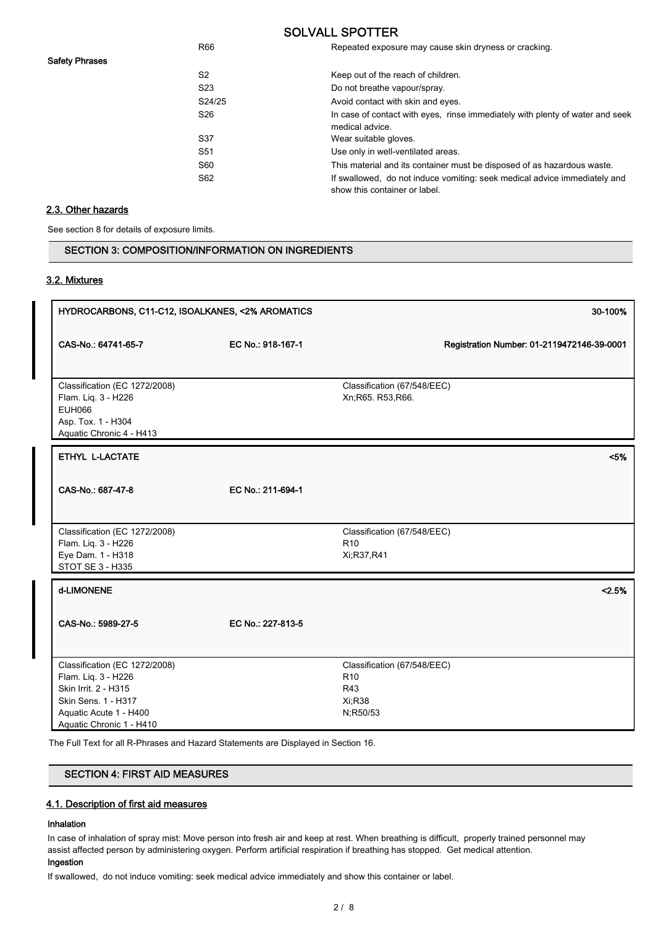| R <sub>66</sub> | Repeated exposure may cause skin dryness or cracking.                                                      |
|-----------------|------------------------------------------------------------------------------------------------------------|
| S <sub>2</sub>  | Keep out of the reach of children.                                                                         |
| S <sub>23</sub> | Do not breathe vapour/spray.                                                                               |
| S24/25          | Avoid contact with skin and eyes.                                                                          |
| S <sub>26</sub> | In case of contact with eyes, rinse immediately with plenty of water and seek<br>medical advice.           |
| S <sub>37</sub> | Wear suitable gloves.                                                                                      |
| S <sub>51</sub> | Use only in well-ventilated areas.                                                                         |
| S60             | This material and its container must be disposed of as hazardous waste.                                    |
| S62             | If swallowed, do not induce vomiting: seek medical advice immediately and<br>show this container or label. |

# 2.3. Other hazards

Safety Phrases

See section 8 for details of exposure limits.

SECTION 3: COMPOSITION/INFORMATION ON INGREDIENTS

### 3.2. Mixtures

| HYDROCARBONS, C11-C12, ISOALKANES, <2% AROMATICS                                                                                                          |                   | 30-100%                                                                     |
|-----------------------------------------------------------------------------------------------------------------------------------------------------------|-------------------|-----------------------------------------------------------------------------|
| CAS-No.: 64741-65-7                                                                                                                                       | EC No.: 918-167-1 | Registration Number: 01-2119472146-39-0001                                  |
| Classification (EC 1272/2008)<br>Flam. Liq. 3 - H226<br><b>EUH066</b><br>Asp. Tox. 1 - H304<br>Aquatic Chronic 4 - H413                                   |                   | Classification (67/548/EEC)<br>Xn;R65. R53,R66.                             |
| ETHYL L-LACTATE                                                                                                                                           |                   | < 5%                                                                        |
| CAS-No.: 687-47-8                                                                                                                                         | EC No.: 211-694-1 |                                                                             |
| Classification (EC 1272/2008)<br>Flam. Liq. 3 - H226<br>Eye Dam. 1 - H318<br>STOT SE 3 - H335                                                             |                   | Classification (67/548/EEC)<br>R <sub>10</sub><br>Xi;R37,R41                |
| d-LIMONENE                                                                                                                                                |                   | < 2.5%                                                                      |
| CAS-No.: 5989-27-5                                                                                                                                        | EC No.: 227-813-5 |                                                                             |
| Classification (EC 1272/2008)<br>Flam. Liq. 3 - H226<br>Skin Irrit. 2 - H315<br>Skin Sens. 1 - H317<br>Aquatic Acute 1 - H400<br>Aquatic Chronic 1 - H410 |                   | Classification (67/548/EEC)<br>R <sub>10</sub><br>R43<br>Xi;R38<br>N;R50/53 |

The Full Text for all R-Phrases and Hazard Statements are Displayed in Section 16.

# SECTION 4: FIRST AID MEASURES

# 4.1. Description of first aid measures

### Inhalation

In case of inhalation of spray mist: Move person into fresh air and keep at rest. When breathing is difficult, properly trained personnel may assist affected person by administering oxygen. Perform artificial respiration if breathing has stopped. Get medical attention.

# Ingestion

If swallowed, do not induce vomiting: seek medical advice immediately and show this container or label.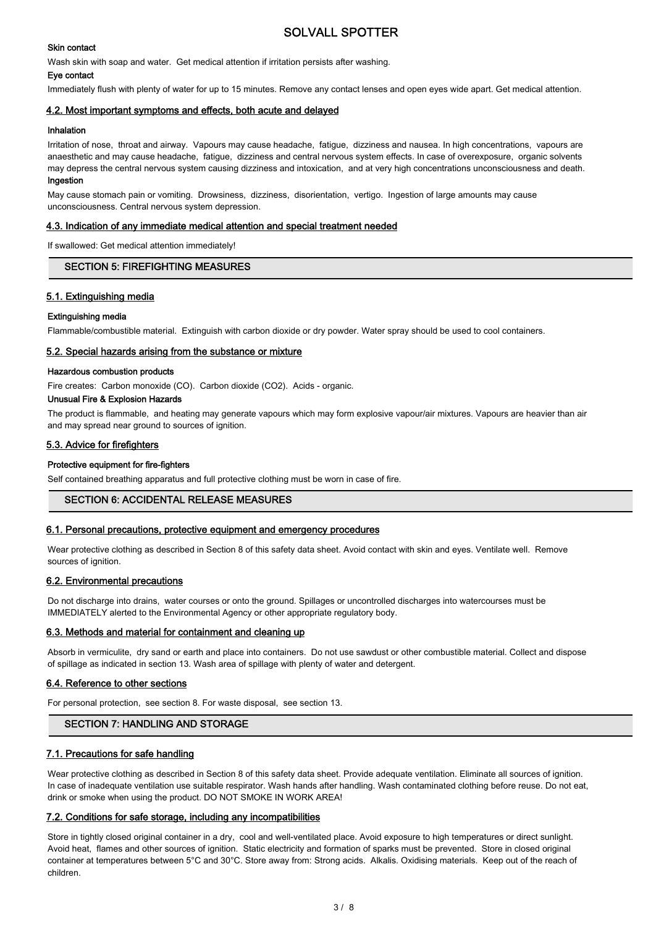### Skin contact

Wash skin with soap and water. Get medical attention if irritation persists after washing.

### Eye contact

Immediately flush with plenty of water for up to 15 minutes. Remove any contact lenses and open eyes wide apart. Get medical attention.

### 4.2. Most important symptoms and effects, both acute and delayed

### Inhalation

Irritation of nose, throat and airway. Vapours may cause headache, fatigue, dizziness and nausea. In high concentrations, vapours are anaesthetic and may cause headache, fatigue, dizziness and central nervous system effects. In case of overexposure, organic solvents may depress the central nervous system causing dizziness and intoxication, and at very high concentrations unconsciousness and death. Ingestion

May cause stomach pain or vomiting. Drowsiness, dizziness, disorientation, vertigo. Ingestion of large amounts may cause unconsciousness. Central nervous system depression.

### 4.3. Indication of any immediate medical attention and special treatment needed

If swallowed: Get medical attention immediately!

# SECTION 5: FIREFIGHTING MEASURES

# 5.1. Extinguishing media

### Extinguishing media

Flammable/combustible material. Extinguish with carbon dioxide or dry powder. Water spray should be used to cool containers.

### 5.2. Special hazards arising from the substance or mixture

### Hazardous combustion products

Fire creates: Carbon monoxide (CO). Carbon dioxide (CO2). Acids - organic.

# Unusual Fire & Explosion Hazards

The product is flammable, and heating may generate vapours which may form explosive vapour/air mixtures. Vapours are heavier than air and may spread near ground to sources of ignition.

### 5.3. Advice for firefighters

### Protective equipment for fire-fighters

Self contained breathing apparatus and full protective clothing must be worn in case of fire.

### SECTION 6: ACCIDENTAL RELEASE MEASURES

### 6.1. Personal precautions, protective equipment and emergency procedures

Wear protective clothing as described in Section 8 of this safety data sheet. Avoid contact with skin and eyes. Ventilate well. Remove sources of ignition.

### 6.2. Environmental precautions

Do not discharge into drains, water courses or onto the ground. Spillages or uncontrolled discharges into watercourses must be IMMEDIATELY alerted to the Environmental Agency or other appropriate regulatory body.

### 6.3. Methods and material for containment and cleaning up

Absorb in vermiculite, dry sand or earth and place into containers. Do not use sawdust or other combustible material. Collect and dispose of spillage as indicated in section 13. Wash area of spillage with plenty of water and detergent.

### 6.4. Reference to other sections

For personal protection, see section 8. For waste disposal, see section 13.

# SECTION 7: HANDLING AND STORAGE

# 7.1. Precautions for safe handling

Wear protective clothing as described in Section 8 of this safety data sheet. Provide adequate ventilation. Eliminate all sources of ignition. In case of inadequate ventilation use suitable respirator. Wash hands after handling. Wash contaminated clothing before reuse. Do not eat, drink or smoke when using the product. DO NOT SMOKE IN WORK AREA!

### 7.2. Conditions for safe storage, including any incompatibilities

Store in tightly closed original container in a dry, cool and well-ventilated place. Avoid exposure to high temperatures or direct sunlight. Avoid heat, flames and other sources of ignition. Static electricity and formation of sparks must be prevented. Store in closed original container at temperatures between 5°C and 30°C. Store away from: Strong acids. Alkalis. Oxidising materials. Keep out of the reach of children.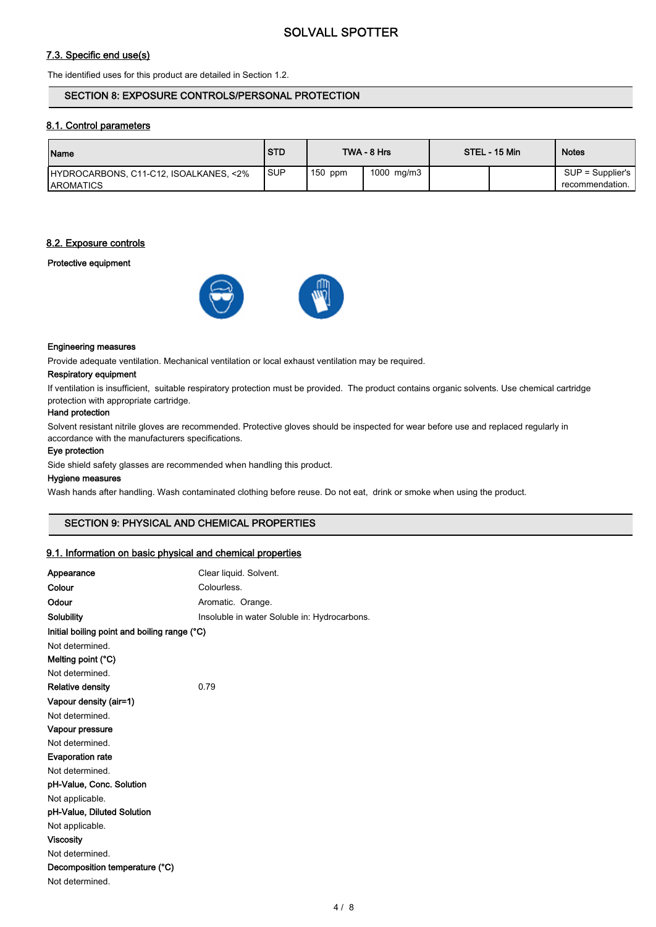# 7.3. Specific end use(s)

The identified uses for this product are detailed in Section 1.2.

### SECTION 8: EXPOSURE CONTROLS/PERSONAL PROTECTION

### 8.1. Control parameters

| <b>Name</b>                                                 | <b>STD</b> |           | TWA - 8 Hrs | STEL - 15 Min | <b>Notes</b>                          |
|-------------------------------------------------------------|------------|-----------|-------------|---------------|---------------------------------------|
| HYDROCARBONS, C11-C12, ISOALKANES, <2%<br><b>IAROMATICS</b> | <b>SUP</b> | $150$ ppm | 1000 mg/m3  |               | $SUP = Supplier's$<br>recommendation. |

## 8.2. Exposure controls

### Protective equipment



### Engineering measures

Provide adequate ventilation. Mechanical ventilation or local exhaust ventilation may be required.

# Respiratory equipment

If ventilation is insufficient, suitable respiratory protection must be provided. The product contains organic solvents. Use chemical cartridge protection with appropriate cartridge.

### Hand protection

Solvent resistant nitrile gloves are recommended. Protective gloves should be inspected for wear before use and replaced regularly in accordance with the manufacturers specifications.

#### Eye protection

Side shield safety glasses are recommended when handling this product.

### Hygiene measures

Wash hands after handling. Wash contaminated clothing before reuse. Do not eat, drink or smoke when using the product.

# SECTION 9: PHYSICAL AND CHEMICAL PROPERTIES

### 9.1. Information on basic physical and chemical properties

| Appearance                                   | Clear liquid. Solvent.                       |
|----------------------------------------------|----------------------------------------------|
| Colour                                       | Colourless.                                  |
| Odour                                        | Aromatic. Orange.                            |
| <b>Solubility</b>                            | Insoluble in water Soluble in: Hydrocarbons. |
| Initial boiling point and boiling range (°C) |                                              |
| Not determined.                              |                                              |
| Melting point (°C)                           |                                              |
| Not determined.                              |                                              |
| <b>Relative density</b>                      | 0.79                                         |
| Vapour density (air=1)                       |                                              |
| Not determined.                              |                                              |
| Vapour pressure                              |                                              |
| Not determined.                              |                                              |
| <b>Evaporation rate</b>                      |                                              |
| Not determined.                              |                                              |
| pH-Value, Conc. Solution                     |                                              |
| Not applicable.                              |                                              |
| pH-Value, Diluted Solution                   |                                              |
| Not applicable.                              |                                              |
| <b>Viscosity</b>                             |                                              |
| Not determined.                              |                                              |
| Decomposition temperature (°C)               |                                              |
| Not determined.                              |                                              |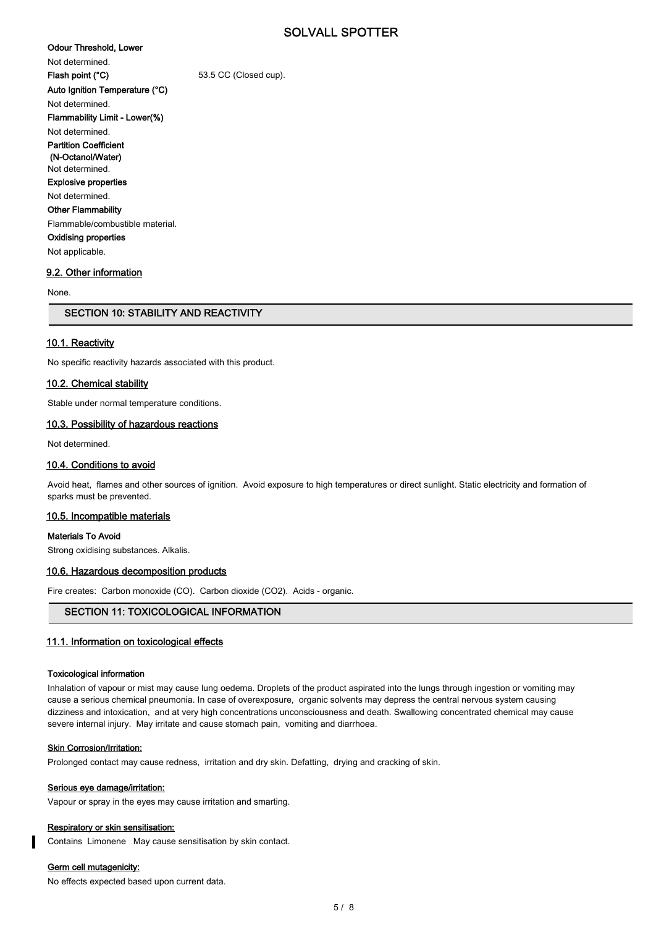Odour Threshold, Lower

Not determined.

Auto Ignition Temperature (°C)

Flash point (°C) 53.5 CC (Closed cup).

Not determined. Flammability Limit - Lower(%)

Not determined. Partition Coefficient (N-Octanol/Water)

Not determined. Explosive properties

Not determined.

Other Flammability

Flammable/combustible material.

Oxidising properties Not applicable.

### 9.2. Other information

None.

# SECTION 10: STABILITY AND REACTIVITY

### 10.1. Reactivity

No specific reactivity hazards associated with this product.

### 10.2. Chemical stability

Stable under normal temperature conditions.

# 10.3. Possibility of hazardous reactions

Not determined.

# 10.4. Conditions to avoid

Avoid heat, flames and other sources of ignition. Avoid exposure to high temperatures or direct sunlight. Static electricity and formation of sparks must be prevented.

### 10.5. Incompatible materials

Materials To Avoid

Strong oxidising substances. Alkalis.

# 10.6. Hazardous decomposition products

Fire creates: Carbon monoxide (CO). Carbon dioxide (CO2). Acids - organic.

# SECTION 11: TOXICOLOGICAL INFORMATION

# 11.1. Information on toxicological effects

### Toxicological information

Inhalation of vapour or mist may cause lung oedema. Droplets of the product aspirated into the lungs through ingestion or vomiting may cause a serious chemical pneumonia. In case of overexposure, organic solvents may depress the central nervous system causing dizziness and intoxication, and at very high concentrations unconsciousness and death. Swallowing concentrated chemical may cause severe internal injury. May irritate and cause stomach pain, vomiting and diarrhoea.

#### Skin Corrosion/Irritation:

Prolonged contact may cause redness, irritation and dry skin. Defatting, drying and cracking of skin.

#### Serious eye damage/irritation:

Vapour or spray in the eyes may cause irritation and smarting.

#### Respiratory or skin sensitisation:

Contains Limonene May cause sensitisation by skin contact.

### Germ cell mutagenicity:

No effects expected based upon current data.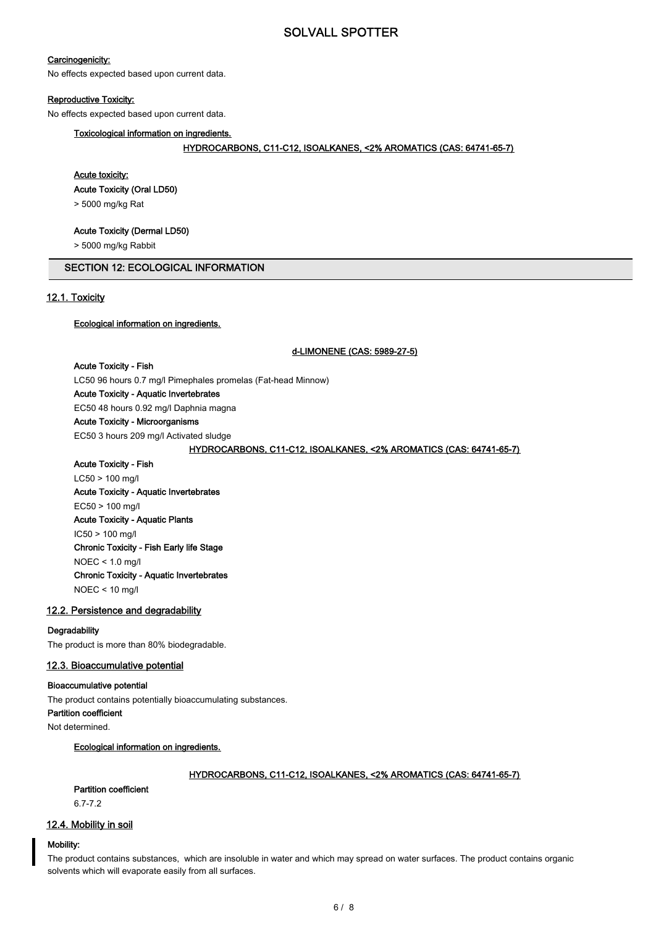### Carcinogenicity:

No effects expected based upon current data.

#### Reproductive Toxicity:

No effects expected based upon current data.

### Toxicological information on ingredients.

#### HYDROCARBONS, C11-C12, ISOALKANES, <2% AROMATICS (CAS: 64741-65-7)

### Acute toxicity:

Acute Toxicity (Oral LD50)

> 5000 mg/kg Rat

### Acute Toxicity (Dermal LD50)

> 5000 mg/kg Rabbit

# SECTION 12: ECOLOGICAL INFORMATION

### 12.1. Toxicity

### Ecological information on ingredients.

#### d-LIMONENE (CAS: 5989-27-5)

#### Acute Toxicity - Fish

LC50 96 hours 0.7 mg/l Pimephales promelas (Fat-head Minnow) Acute Toxicity - Aquatic Invertebrates EC50 48 hours 0.92 mg/l Daphnia magna Acute Toxicity - Microorganisms EC50 3 hours 209 mg/l Activated sludge

## HYDROCARBONS, C11-C12, ISOALKANES, <2% AROMATICS (CAS: 64741-65-7)

Acute Toxicity - Fish LC50 > 100 mg/l Acute Toxicity - Aquatic Invertebrates EC50 > 100 mg/l Acute Toxicity - Aquatic Plants IC50 > 100 mg/l Chronic Toxicity - Fish Early life Stage NOEC < 1.0 mg/l Chronic Toxicity - Aquatic Invertebrates NOEC < 10 mg/l

### 12.2. Persistence and degradability

#### **Degradability**

The product is more than 80% biodegradable.

### 12.3. Bioaccumulative potential

### Bioaccumulative potential

The product contains potentially bioaccumulating substances.

Partition coefficient

Not determined.

### Ecological information on ingredients.

### HYDROCARBONS, C11-C12, ISOALKANES, <2% AROMATICS (CAS: 64741-65-7)

# Partition coefficient

6.7-7.2

# 12.4. Mobility in soil

### Mobility:

The product contains substances, which are insoluble in water and which may spread on water surfaces. The product contains organic solvents which will evaporate easily from all surfaces.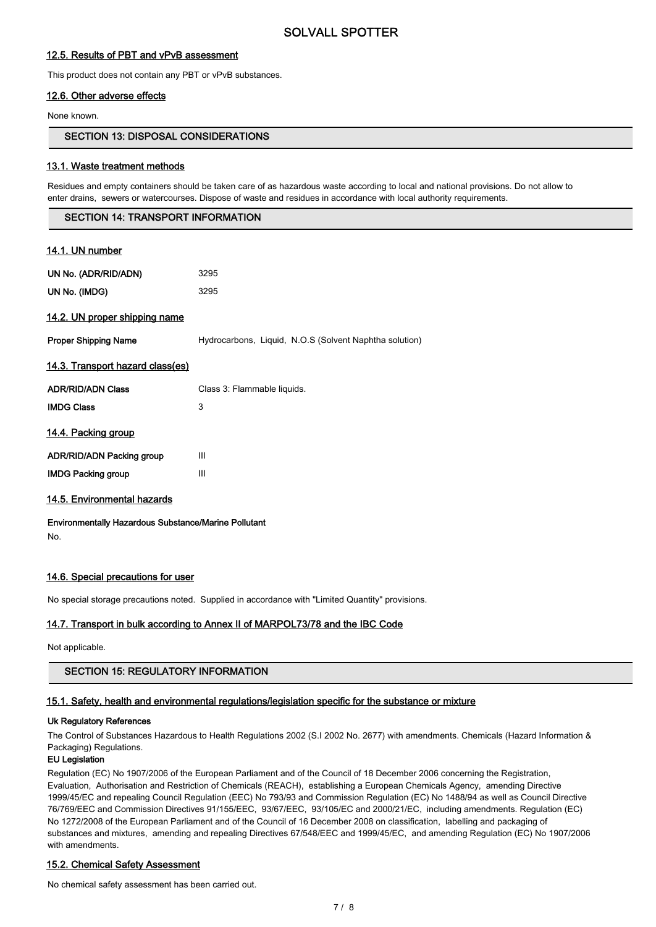# 12.5. Results of PBT and vPvB assessment

This product does not contain any PBT or vPvB substances.

### 12.6. Other adverse effects

None known.

# SECTION 13: DISPOSAL CONSIDERATIONS

### 13.1. Waste treatment methods

Residues and empty containers should be taken care of as hazardous waste according to local and national provisions. Do not allow to enter drains, sewers or watercourses. Dispose of waste and residues in accordance with local authority requirements.

### SECTION 14: TRANSPORT INFORMATION

| <u>14.1. UN number</u>           |                                                        |
|----------------------------------|--------------------------------------------------------|
| UN No. (ADR/RID/ADN)             | 3295                                                   |
| UN No. (IMDG)                    | 3295                                                   |
| 14.2. UN proper shipping name    |                                                        |
| <b>Proper Shipping Name</b>      | Hydrocarbons, Liquid, N.O.S (Solvent Naphtha solution) |
| 14.3. Transport hazard class(es) |                                                        |
| <b>ADR/RID/ADN Class</b>         | Class 3: Flammable liquids.                            |
| <b>IMDG Class</b>                | 3                                                      |
| <u>14.4. Packing group</u>       |                                                        |
| ADR/RID/ADN Packing group        | Ш                                                      |
| <b>IMDG Packing group</b>        | Ш                                                      |
| 14.5. Environmental hazards      |                                                        |

Environmentally Hazardous Substance/Marine Pollutant No.

### 14.6. Special precautions for user

No special storage precautions noted. Supplied in accordance with "Limited Quantity" provisions.

### 14.7. Transport in bulk according to Annex II of MARPOL73/78 and the IBC Code

Not applicable.

# SECTION 15: REGULATORY INFORMATION

### 15.1. Safety, health and environmental regulations/legislation specific for the substance or mixture

#### Uk Regulatory References

The Control of Substances Hazardous to Health Regulations 2002 (S.I 2002 No. 2677) with amendments. Chemicals (Hazard Information & Packaging) Regulations.

### EU Legislation

Regulation (EC) No 1907/2006 of the European Parliament and of the Council of 18 December 2006 concerning the Registration, Evaluation, Authorisation and Restriction of Chemicals (REACH), establishing a European Chemicals Agency, amending Directive 1999/45/EC and repealing Council Regulation (EEC) No 793/93 and Commission Regulation (EC) No 1488/94 as well as Council Directive 76/769/EEC and Commission Directives 91/155/EEC, 93/67/EEC, 93/105/EC and 2000/21/EC, including amendments. Regulation (EC) No 1272/2008 of the European Parliament and of the Council of 16 December 2008 on classification, labelling and packaging of substances and mixtures, amending and repealing Directives 67/548/EEC and 1999/45/EC, and amending Regulation (EC) No 1907/2006 with amendments.

### 15.2. Chemical Safety Assessment

No chemical safety assessment has been carried out.